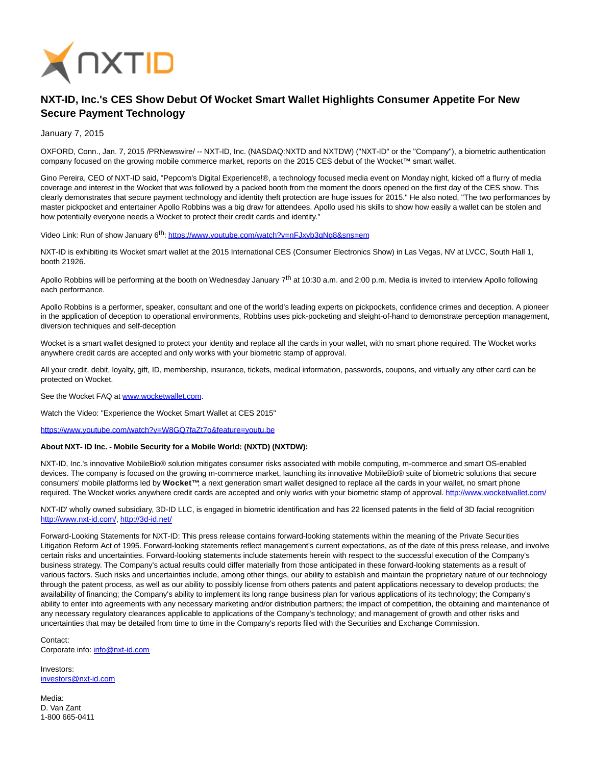

## **NXT-ID, Inc.'s CES Show Debut Of Wocket Smart Wallet Highlights Consumer Appetite For New Secure Payment Technology**

January 7, 2015

OXFORD, Conn., Jan. 7, 2015 /PRNewswire/ -- NXT-ID, Inc. (NASDAQ:NXTD and NXTDW) ("NXT-ID" or the "Company"), a biometric authentication company focused on the growing mobile commerce market, reports on the 2015 CES debut of the Wocket™ smart wallet.

Gino Pereira, CEO of NXT-ID said, "Pepcom's Digital Experience!®, a technology focused media event on Monday night, kicked off a flurry of media coverage and interest in the Wocket that was followed by a packed booth from the moment the doors opened on the first day of the CES show. This clearly demonstrates that secure payment technology and identity theft protection are huge issues for 2015." He also noted, "The two performances by master pickpocket and entertainer Apollo Robbins was a big draw for attendees. Apollo used his skills to show how easily a wallet can be stolen and how potentially everyone needs a Wocket to protect their credit cards and identity."

Video Link: Run of show January 6<sup>th</sup>: https://www.youtube.com/watch?v=nFJxyb3qNq8&sns=em

NXT-ID is exhibiting its Wocket smart wallet at the 2015 International CES (Consumer Electronics Show) in Las Vegas, NV at LVCC, South Hall 1, booth 21926.

Apollo Robbins will be performing at the booth on Wednesday January  $7<sup>th</sup>$  at 10:30 a.m. and 2:00 p.m. Media is invited to interview Apollo following each performance.

Apollo Robbins is a performer, speaker, consultant and one of the world's leading experts on pickpockets, confidence crimes and deception. A pioneer in the application of deception to operational environments, Robbins uses pick-pocketing and sleight-of-hand to demonstrate perception management, diversion techniques and self-deception

Wocket is a smart wallet designed to protect your identity and replace all the cards in your wallet, with no smart phone required. The Wocket works anywhere credit cards are accepted and only works with your biometric stamp of approval.

All your credit, debit, loyalty, gift, ID, membership, insurance, tickets, medical information, passwords, coupons, and virtually any other card can be protected on Wocket.

See the Wocket FAQ at www.wocketwallet.com.

Watch the Video: "Experience the Wocket Smart Wallet at CES 2015"

<https://www.youtube.com/watch?v=W8GQ7faZt7o&feature=youtu.be>

## **About NXT- ID Inc. - Mobile Security for a Mobile World: (NXTD) (NXTDW):**

NXT-ID, Inc.'s innovative MobileBio® solution mitigates consumer risks associated with mobile computing, m-commerce and smart OS-enabled devices. The company is focused on the growing m-commerce market, launching its innovative MobileBio® suite of biometric solutions that secure consumers' mobile platforms led by **Wocket™**; a next generation smart wallet designed to replace all the cards in your wallet, no smart phone required. The Wocket works anywhere credit cards are accepted and only works with your biometric stamp of approval[. http://www.wocketwallet.com/](http://www.wocketwallet.com/)

NXT-ID' wholly owned subsidiary, 3D-ID LLC, is engaged in biometric identification and has 22 licensed patents in the field of 3D facial recognition [http://www.nxt-id.com/,](http://www.nxt-id.com/)<http://3d-id.net/>

Forward-Looking Statements for NXT-ID: This press release contains forward-looking statements within the meaning of the Private Securities Litigation Reform Act of 1995. Forward-looking statements reflect management's current expectations, as of the date of this press release, and involve certain risks and uncertainties. Forward-looking statements include statements herein with respect to the successful execution of the Company's business strategy. The Company's actual results could differ materially from those anticipated in these forward-looking statements as a result of various factors. Such risks and uncertainties include, among other things, our ability to establish and maintain the proprietary nature of our technology through the patent process, as well as our ability to possibly license from others patents and patent applications necessary to develop products; the availability of financing; the Company's ability to implement its long range business plan for various applications of its technology; the Company's ability to enter into agreements with any necessary marketing and/or distribution partners; the impact of competition, the obtaining and maintenance of any necessary regulatory clearances applicable to applications of the Company's technology; and management of growth and other risks and uncertainties that may be detailed from time to time in the Company's reports filed with the Securities and Exchange Commission.

Contact: Corporate info: [info@nxt-id.com](mailto:info@nxt-id.com)

Investors: [investors@nxt-id.com](mailto:investors@nxt-id.com)

Media: D. Van Zant 1-800 665-0411